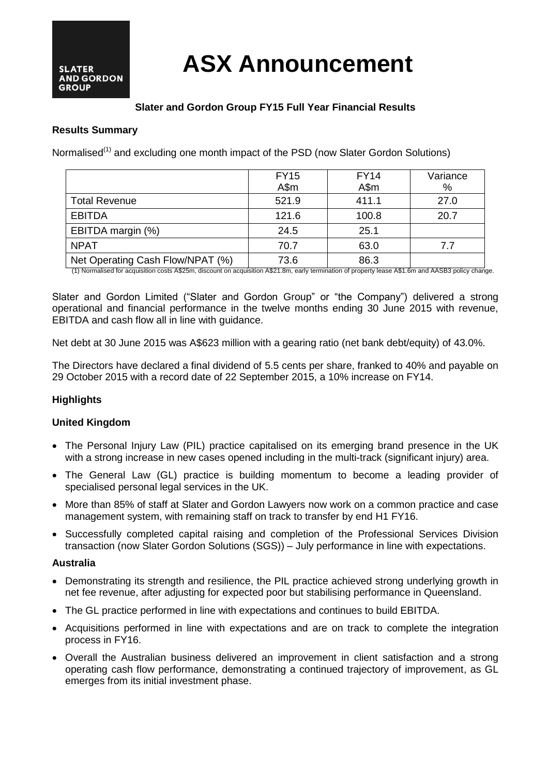# **ASX Announcement**

# **Slater and Gordon Group FY15 Full Year Financial Results**

## **Results Summary**

Normalised<sup>(1)</sup> and excluding one month impact of the PSD (now Slater Gordon Solutions)

|                                  | <b>FY15</b> | <b>FY14</b> | Variance |
|----------------------------------|-------------|-------------|----------|
|                                  | A\$m        | A\$m        | %        |
| <b>Total Revenue</b>             | 521.9       | 411.1       | 27.0     |
| <b>EBITDA</b>                    | 121.6       | 100.8       | 20.7     |
| EBITDA margin (%)                | 24.5        | 25.1        |          |
| <b>NPAT</b>                      | 70.7        | 63.0        | 7.7      |
| Net Operating Cash Flow/NPAT (%) | 73.6        | 86.3        |          |

(1) Normalised for acquisition costs A\$25m, discount on acquisition A\$21.8m, early termination of property lease A\$1.6m and AASB3 policy change.

Slater and Gordon Limited ("Slater and Gordon Group" or "the Company") delivered a strong operational and financial performance in the twelve months ending 30 June 2015 with revenue, EBITDA and cash flow all in line with guidance.

Net debt at 30 June 2015 was A\$623 million with a gearing ratio (net bank debt/equity) of 43.0%.

The Directors have declared a final dividend of 5.5 cents per share, franked to 40% and payable on 29 October 2015 with a record date of 22 September 2015, a 10% increase on FY14.

# **Highlights**

#### **United Kingdom**

- The Personal Injury Law (PIL) practice capitalised on its emerging brand presence in the UK with a strong increase in new cases opened including in the multi-track (significant injury) area.
- The General Law (GL) practice is building momentum to become a leading provider of specialised personal legal services in the UK.
- More than 85% of staff at Slater and Gordon Lawyers now work on a common practice and case management system, with remaining staff on track to transfer by end H1 FY16.
- Successfully completed capital raising and completion of the Professional Services Division transaction (now Slater Gordon Solutions (SGS)) – July performance in line with expectations.

#### **Australia**

- Demonstrating its strength and resilience, the PIL practice achieved strong underlying growth in net fee revenue, after adjusting for expected poor but stabilising performance in Queensland.
- The GL practice performed in line with expectations and continues to build EBITDA.
- Acquisitions performed in line with expectations and are on track to complete the integration process in FY16.
- Overall the Australian business delivered an improvement in client satisfaction and a strong operating cash flow performance, demonstrating a continued trajectory of improvement, as GL emerges from its initial investment phase.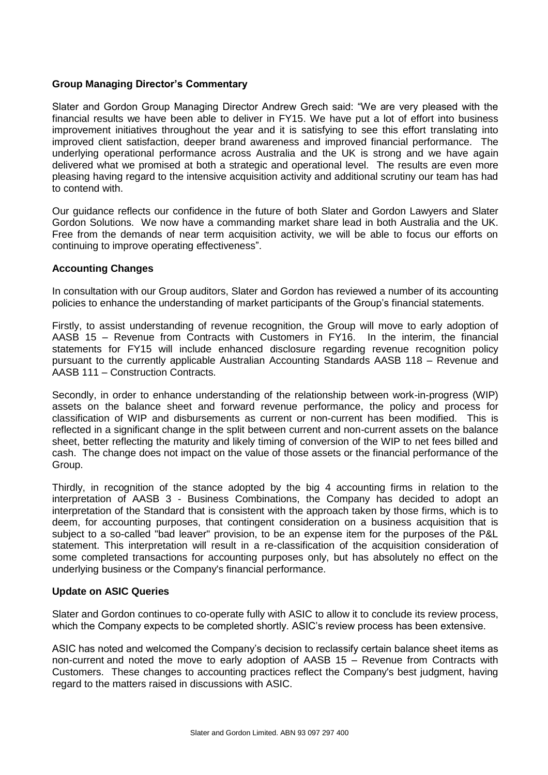# **Group Managing Director's Commentary**

Slater and Gordon Group Managing Director Andrew Grech said: "We are very pleased with the financial results we have been able to deliver in FY15. We have put a lot of effort into business improvement initiatives throughout the year and it is satisfying to see this effort translating into improved client satisfaction, deeper brand awareness and improved financial performance. The underlying operational performance across Australia and the UK is strong and we have again delivered what we promised at both a strategic and operational level. The results are even more pleasing having regard to the intensive acquisition activity and additional scrutiny our team has had to contend with.

Our guidance reflects our confidence in the future of both Slater and Gordon Lawyers and Slater Gordon Solutions. We now have a commanding market share lead in both Australia and the UK. Free from the demands of near term acquisition activity, we will be able to focus our efforts on continuing to improve operating effectiveness".

## **Accounting Changes**

In consultation with our Group auditors, Slater and Gordon has reviewed a number of its accounting policies to enhance the understanding of market participants of the Group's financial statements.

Firstly, to assist understanding of revenue recognition, the Group will move to early adoption of AASB 15 – Revenue from Contracts with Customers in FY16. In the interim, the financial statements for FY15 will include enhanced disclosure regarding revenue recognition policy pursuant to the currently applicable Australian Accounting Standards AASB 118 – Revenue and AASB 111 – Construction Contracts.

Secondly, in order to enhance understanding of the relationship between work-in-progress (WIP) assets on the balance sheet and forward revenue performance, the policy and process for classification of WIP and disbursements as current or non-current has been modified. This is reflected in a significant change in the split between current and non-current assets on the balance sheet, better reflecting the maturity and likely timing of conversion of the WIP to net fees billed and cash. The change does not impact on the value of those assets or the financial performance of the Group.

Thirdly, in recognition of the stance adopted by the big 4 accounting firms in relation to the interpretation of AASB 3 - Business Combinations, the Company has decided to adopt an interpretation of the Standard that is consistent with the approach taken by those firms, which is to deem, for accounting purposes, that contingent consideration on a business acquisition that is subject to a so-called "bad leaver" provision, to be an expense item for the purposes of the P&L statement. This interpretation will result in a re-classification of the acquisition consideration of some completed transactions for accounting purposes only, but has absolutely no effect on the underlying business or the Company's financial performance.

#### **Update on ASIC Queries**

Slater and Gordon continues to co-operate fully with ASIC to allow it to conclude its review process, which the Company expects to be completed shortly. ASIC's review process has been extensive.

ASIC has noted and welcomed the Company's decision to reclassify certain balance sheet items as non-current and noted the move to early adoption of AASB 15 – Revenue from Contracts with Customers. These changes to accounting practices reflect the Company's best judgment, having regard to the matters raised in discussions with ASIC.